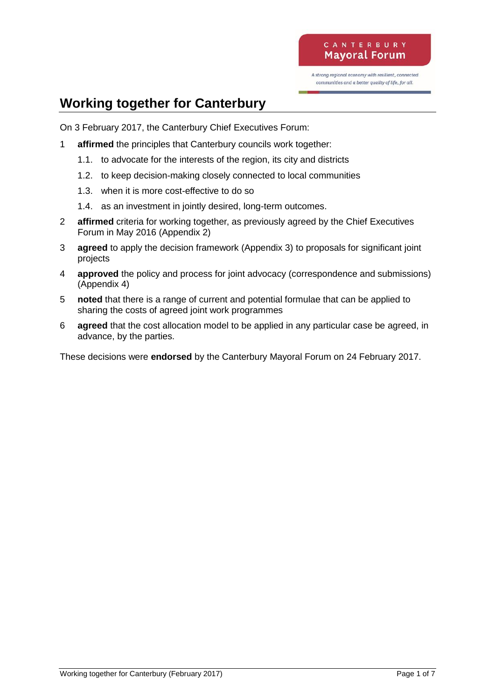A strong regional economy with resilient, connected communities and a better quality of life, for all.

## **Working together for Canterbury**

On 3 February 2017, the Canterbury Chief Executives Forum:

- 1 **affirmed** the principles that Canterbury councils work together:
	- 1.1. to advocate for the interests of the region, its city and districts
	- 1.2. to keep decision-making closely connected to local communities
	- 1.3. when it is more cost-effective to do so
	- 1.4. as an investment in jointly desired, long-term outcomes.
- 2 **affirmed** criteria for working together, as previously agreed by the Chief Executives Forum in May 2016 (Appendix 2)
- 3 **agreed** to apply the decision framework (Appendix 3) to proposals for significant joint projects
- 4 **approved** the policy and process for joint advocacy (correspondence and submissions) (Appendix 4)
- 5 **noted** that there is a range of current and potential formulae that can be applied to sharing the costs of agreed joint work programmes
- 6 **agreed** that the cost allocation model to be applied in any particular case be agreed, in advance, by the parties.

These decisions were **endorsed** by the Canterbury Mayoral Forum on 24 February 2017.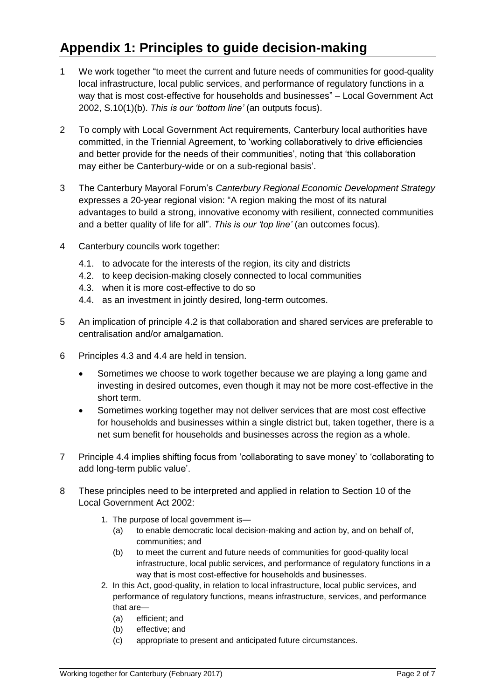# **Appendix 1: Principles to guide decision-making**

- 1 We work together "to meet the current and future needs of communities for good-quality local infrastructure, local public services, and performance of regulatory functions in a way that is most cost-effective for households and businesses" – Local Government Act 2002, S.10(1)(b). *This is our 'bottom line'* (an outputs focus).
- 2 To comply with Local Government Act requirements, Canterbury local authorities have committed, in the Triennial Agreement, to 'working collaboratively to drive efficiencies and better provide for the needs of their communities', noting that 'this collaboration may either be Canterbury-wide or on a sub-regional basis'.
- 3 The Canterbury Mayoral Forum's *Canterbury Regional Economic Development Strategy* expresses a 20-year regional vision: "A region making the most of its natural advantages to build a strong, innovative economy with resilient, connected communities and a better quality of life for all". *This is our 'top line'* (an outcomes focus).
- 4 Canterbury councils work together:
	- 4.1. to advocate for the interests of the region, its city and districts
	- 4.2. to keep decision-making closely connected to local communities
	- 4.3. when it is more cost-effective to do so
	- 4.4. as an investment in jointly desired, long-term outcomes.
- 5 An implication of principle 4.2 is that collaboration and shared services are preferable to centralisation and/or amalgamation.
- 6 Principles 4.3 and 4.4 are held in tension.
	- Sometimes we choose to work together because we are playing a long game and investing in desired outcomes, even though it may not be more cost-effective in the short term.
	- Sometimes working together may not deliver services that are most cost effective for households and businesses within a single district but, taken together, there is a net sum benefit for households and businesses across the region as a whole.
- 7 Principle 4.4 implies shifting focus from 'collaborating to save money' to 'collaborating to add long-term public value'.
- 8 These principles need to be interpreted and applied in relation to Section 10 of the Local Government Act 2002:
	- 1. The purpose of local government is—
		- (a) to enable democratic local decision-making and action by, and on behalf of, communities; and
		- (b) to meet the current and future needs of communities for good-quality local infrastructure, local public services, and performance of regulatory functions in a way that is most cost-effective for households and businesses.
	- 2. In this Act, good-quality, in relation to local infrastructure, local public services, and performance of regulatory functions, means infrastructure, services, and performance that are—
		- (a) efficient; and
		- (b) effective; and
		- (c) appropriate to present and anticipated future circumstances.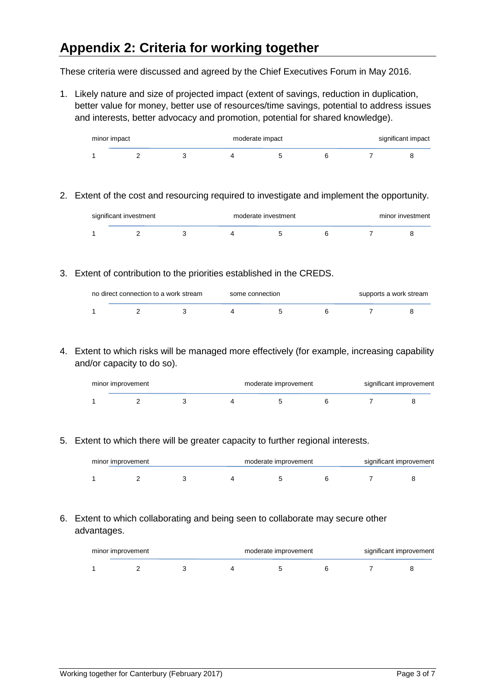## **Appendix 2: Criteria for working together**

These criteria were discussed and agreed by the Chief Executives Forum in May 2016.

1. Likely nature and size of projected impact (extent of savings, reduction in duplication, better value for money, better use of resources/time savings, potential to address issues and interests, better advocacy and promotion, potential for shared knowledge).

| minor impact |  | moderate impact |  |  |  | significant impact |  |
|--------------|--|-----------------|--|--|--|--------------------|--|
|              |  |                 |  |  |  |                    |  |

2. Extent of the cost and resourcing required to investigate and implement the opportunity.

| significant investment |  | moderate investment | minor investment |  |  |  |
|------------------------|--|---------------------|------------------|--|--|--|
|                        |  |                     |                  |  |  |  |

3. Extent of contribution to the priorities established in the CREDS.

| no direct connection to a work stream | some connection | supports a work stream |  |  |
|---------------------------------------|-----------------|------------------------|--|--|
|                                       |                 |                        |  |  |

4. Extent to which risks will be managed more effectively (for example, increasing capability and/or capacity to do so).

| minor improvement |  |  | moderate improvement |  |  | significant improvement |  |
|-------------------|--|--|----------------------|--|--|-------------------------|--|
|                   |  |  |                      |  |  |                         |  |

5. Extent to which there will be greater capacity to further regional interests.

| minor improvement |  |  | moderate improvement |  |  | significant improvement |  |  |
|-------------------|--|--|----------------------|--|--|-------------------------|--|--|
|                   |  |  |                      |  |  |                         |  |  |

#### 6. Extent to which collaborating and being seen to collaborate may secure other advantages.

| minor improvement |  |  | moderate improvement |  |  | significant improvement |  |  |
|-------------------|--|--|----------------------|--|--|-------------------------|--|--|
|                   |  |  |                      |  |  |                         |  |  |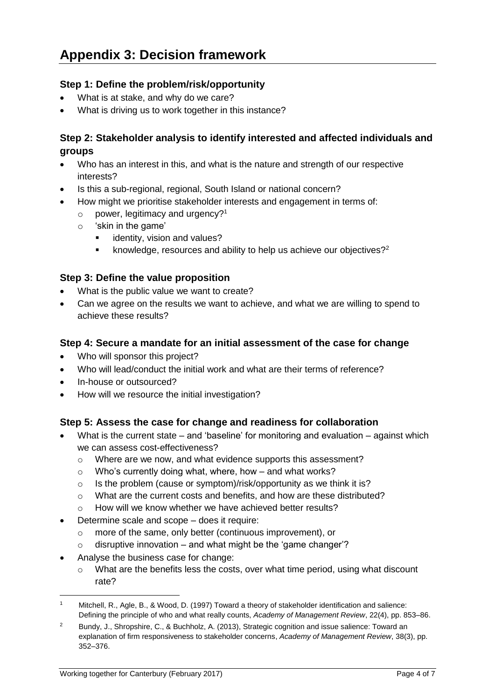### **Step 1: Define the problem/risk/opportunity**

- What is at stake, and why do we care?
- What is driving us to work together in this instance?

### **Step 2: Stakeholder analysis to identify interested and affected individuals and groups**

- Who has an interest in this, and what is the nature and strength of our respective interests?
- Is this a sub-regional, regional, South Island or national concern?
- How might we prioritise stakeholder interests and engagement in terms of:
	- $\circ$  power, legitimacy and urgency?<sup>1</sup>
	- o 'skin in the game'
		- **EXEC** identity, vision and values?
		- **EXEDM** Exampled **R** isolation and ability to help us achieve our objectives?<sup>2</sup>

#### **Step 3: Define the value proposition**

- What is the public value we want to create?
- Can we agree on the results we want to achieve, and what we are willing to spend to achieve these results?

#### **Step 4: Secure a mandate for an initial assessment of the case for change**

- Who will sponsor this project?
- Who will lead/conduct the initial work and what are their terms of reference?
- In-house or outsourced?
- How will we resource the initial investigation?

### **Step 5: Assess the case for change and readiness for collaboration**

- What is the current state and 'baseline' for monitoring and evaluation against which we can assess cost-effectiveness?
	- o Where are we now, and what evidence supports this assessment?
	- $\circ$  Who's currently doing what, where, how and what works?
	- o Is the problem (cause or symptom)/risk/opportunity as we think it is?
	- $\circ$  What are the current costs and benefits, and how are these distributed?
	- o How will we know whether we have achieved better results?
- Determine scale and scope does it require:
	- o more of the same, only better (continuous improvement), or
	- $\circ$  disruptive innovation and what might be the 'game changer'?
- Analyse the business case for change:

-

 $\circ$  What are the benefits less the costs, over what time period, using what discount rate?

<sup>1</sup> Mitchell, R., Agle, B., & Wood, D. (1997) Toward a theory of stakeholder identification and salience: Defining the principle of who and what really counts, *Academy of Management Review*, 22(4), pp. 853–86.

<sup>&</sup>lt;sup>2</sup> Bundy, J., Shropshire, C., & Buchholz, A. (2013), Strategic cognition and issue salience: Toward an explanation of firm responsiveness to stakeholder concerns, *Academy of Management Review*, 38(3), pp. 352–376.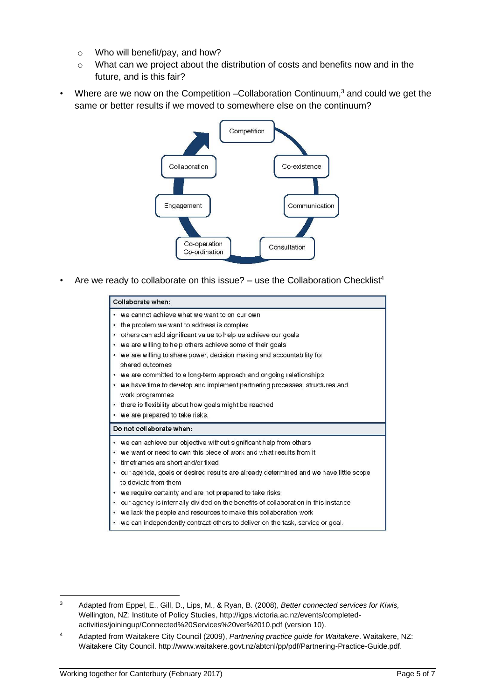- o Who will benefit/pay, and how?
- o What can we project about the distribution of costs and benefits now and in the future, and is this fair?
- Where are we now on the Competition –Collaboration Continuum,<sup>3</sup> and could we get the same or better results if we moved to somewhere else on the continuum?



Are we ready to collaborate on this issue?  $-$  use the Collaboration Checklist<sup>4</sup>

|           | Collaborate when:                                                                                            |
|-----------|--------------------------------------------------------------------------------------------------------------|
|           | • we cannot achieve what we want to on our own                                                               |
| $\bullet$ | the problem we want to address is complex                                                                    |
|           | others can add significant value to help us achieve our goals                                                |
| ٠         | we are willing to help others achieve some of their goals                                                    |
|           | • we are willing to share power, decision making and accountability for<br>shared outcomes                   |
|           | • we are committed to a long-term approach and ongoing relationships                                         |
|           | • we have time to develop and implement partnering processes, structures and<br>work programmes              |
|           | • there is flexibility about how goals might be reached                                                      |
|           | • we are prepared to take risks.                                                                             |
|           | Do not collaborate when:                                                                                     |
|           | • we can achieve our objective without significant help from others                                          |
| ٠         | we want or need to own this piece of work and what results from it                                           |
| $\bullet$ | timeframes are short and/or fixed                                                                            |
| ۰.        | our agenda, goals or desired results are already determined and we have little scope<br>to deviate from them |
|           | • we require certainty and are not prepared to take risks                                                    |
| ٠         | our agency is internally divided on the benefits of collaboration in this instance                           |
|           | • we lack the people and resources to make this collaboration work                                           |

we can independently contract others to deliver on the task, service or goal.

-

<sup>3</sup> Adapted from Eppel, E., Gill, D., Lips, M., & Ryan, B. (2008), *Better connected services for Kiwis,* Wellington, NZ: Institute of Policy Studies, [http://igps.victoria.ac.nz/events/completed](http://igps.victoria.ac.nz/events/completed-activities/joiningup/Connected%20Services%20ver%2010.pdf)[activities/joiningup/Connected%20Services%20ver%2010.pdf](http://igps.victoria.ac.nz/events/completed-activities/joiningup/Connected%20Services%20ver%2010.pdf) (version 10).

<sup>4</sup> Adapted from Waitakere City Council (2009), *Partnering practice guide for Waitakere*. Waitakere, NZ: Waitakere City Council[. http://www.waitakere.govt.nz/abtcnl/pp/pdf/Partnering-Practice-Guide.pdf.](http://www.waitakere.govt.nz/abtcnl/pp/pdf/Partnering-Practice-Guide.pdf)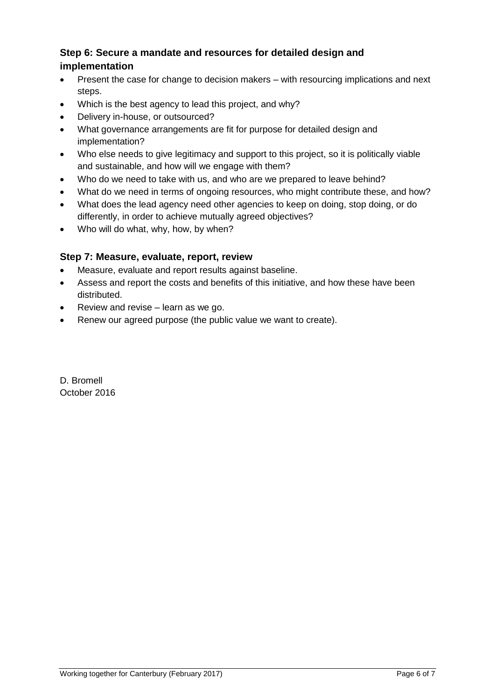### **Step 6: Secure a mandate and resources for detailed design and implementation**

- Present the case for change to decision makers with resourcing implications and next steps.
- Which is the best agency to lead this project, and why?
- Delivery in-house, or outsourced?
- What governance arrangements are fit for purpose for detailed design and implementation?
- Who else needs to give legitimacy and support to this project, so it is politically viable and sustainable, and how will we engage with them?
- Who do we need to take with us, and who are we prepared to leave behind?
- What do we need in terms of ongoing resources, who might contribute these, and how?
- What does the lead agency need other agencies to keep on doing, stop doing, or do differently, in order to achieve mutually agreed objectives?
- Who will do what, why, how, by when?

#### **Step 7: Measure, evaluate, report, review**

- Measure, evaluate and report results against baseline.
- Assess and report the costs and benefits of this initiative, and how these have been distributed.
- Review and revise learn as we go.
- Renew our agreed purpose (the public value we want to create).

D. Bromell October 2016